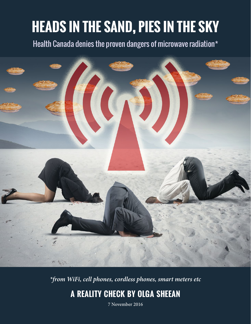# **heads in the sand, pies in the sky**

Health Canada denies the proven dangers of microwave radiation\*



*\*from WiFi, cell phones, cordless phones, smart meters etc*

## **A REALITY CHECK BY OLGA SHEEAN**

1 7 November 2016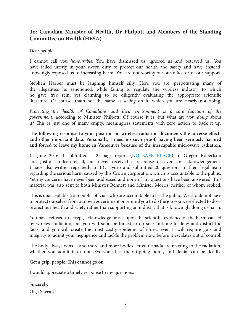#### **To: Canadian Minister of Health, Dr Philpott and Members of the Standing Committee on Health (HESA)**

Dear people:

I cannot call you *honourable*. You have dismissed us, ignored us and betrayed us. You have failed utterly in your sworn duty to protect our health and safety and have, instead, knowingly exposed us to increasing harm. You are not worthy of your office or of our support.

Stephen Harper must be laughing himself silly. Here you are, perpetuating many of the illegalities he sanctioned, while failing to regulate the wireless industry to which he gave free rein, yet claiming to be diligently evaluating the appropriate scientific literature. Of course, that's not the same as *acting* on it, which you are clearly not doing.

*Protecting the health of Canadians and their environment is a core function of the government,* according to Minister Philpott. Of course it is, but what are you *doing* about it? This is just one of many empty, meaningless statements with zero action to back it up.

**The following response to your position on wireless radiation documents the adverse effects and other important data. Personally, I need no such proof, having been seriously harmed and forced to leave my home in Vancouver because of the inescapable microwave radiation.**

In June 2016, I submitted a 25-page report (NO SAFE PLACE) to Gregor Robertson and Justin Trudeau et al, but never received a response or even an acknowledgement. I have also written repeatedly to BC Hydro and submitted 20 questions to their legal team regarding the serious harm caused by this Crown corporation, which is accountable to the public. Yet my concerns have never been addressed and none of my questions have been answered. This material was also sent to both Minister Bennett and Minister Morris, neither of whom replied.

This is unacceptable from public officials who are accountable to us, the public. We should not have to protect ourselves from our own government or remind you to do the job you were elected to do protect our health and safety rather than supporting an industry that is knowingly doing us harm.

You have refused to accept, acknowledge or act upon the scientific evidence of the harm caused by wireless radiation, but you will soon be forced to do so. Continue to deny and distort the facts, and you will create the most costly epidemic of illness ever. It will require guts and integrity to admit your negligence and tackle the problem now, before it escalates out of control.

The body always wins …and more and more bodies across Canada are reacting to the radiation, whether you admit it or not. Everyone has their tipping point, and denial can be deadly.

**Get a grip, people. This cannot go on.** 

I would appreciate a timely response to my questions.

Sincerely, Olga Sheean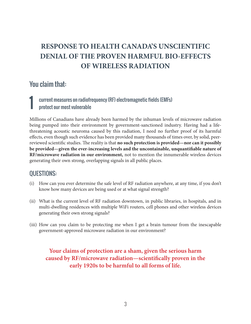## **RESPONSE TO HEALTH CANADA'S UNSCIENTIFIC DENIAL OF THE PROVEN HARMFUL BIO-EFFECTS OF WIRELESS RADIATION**

#### You claim that:

#### 1 current measures on radiofrequency (RF) electromagnetic fields (EMFs) protect our most vulnerable

Millions of Canadians have already been harmed by the inhuman levels of microwave radiation being pumped into their environment by government-sanctioned industry. Having had a lifethreatening acoustic neuroma caused by this radiation, I need no further proof of its harmful effects, even though such evidence has been provided many thousands of times over, by solid, peerreviewed scientific studies. The reality is that **no such protection is provided—nor can it possibly be provided—given the ever-increasing levels and the uncontainable, unquantifiable nature of RF/microwave radiation in our environment,** not to mention the innumerable wireless devices generating their own strong, overlapping signals in all public places.

#### QUESTIONS:

- (i) How can you ever determine the safe level of RF radiation anywhere, at any time, if you don't know how many devices are being used or at what signal strength?
- (ii) What is the current level of RF radiation downtown, in public libraries, in hospitals, and in multi-dwelling residences with multiple WiFi routers, cell phones and other wireless devices generating their own strong signals?
- (iii) How can you claim to be protecting me when I get a brain tumour from the inescapable government-approved microwave radiation in our environment?

**Your claims of protection are a sham, given the serious harm caused by RF/microwave radiation—scientifically proven in the early 1920s to be harmful to all forms of life.**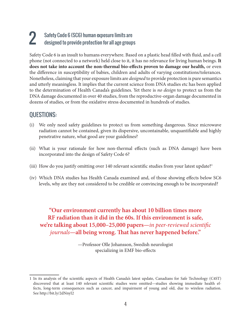# 2 Safety Code 6 (SC6) human exposure limits are designed to provide protection for all age groups

Safety Code 6 is an insult to humans everywhere. Based on a plastic head filled with fluid, and a cell phone (not connected to a network) held close to it, it has no relevance for living human beings. **It does not take into account the non-thermal bio-effects proven to damage our health,** or even the difference in susceptibility of babies, children and adults of varying constitutions/tolerances. Nonetheless, claiming that your exposure limits are *designed* to provide protection is pure semantics and utterly meaningless. It implies that the current science from DNA studies etc has been applied to the determination of Health Canada's guidelines. Yet there is *no design* to protect us from the DNA damage documented in over 40 studies, from the reproductive-organ damage documented in dozens of studies, or from the oxidative stress documented in hundreds of studies.

#### QUESTIONS:

- (i) We only need safety guidelines to protect us from something dangerous. Since microwave radiation cannot be contained, given its dispersive, uncontainable, unquantifiable and highly penetrative nature, what good are your guidelines?
- (ii) What is your rationale for how non-thermal effects (such as DNA damage) have been incorporated into the design of Safety Code 6?
- (iii) How do you justify omitting over 140 relevant scientific studies from your latest update?<sup>1</sup>
- (iv) Which DNA studies has Health Canada examined and, of those showing effects below SC6 levels, why are they not considered to be credible or convincing enough to be incorporated?

#### **"Our environment currently has about 10 billion times more RF radiation than it did in the 60s. If this environment is safe, we're talking about 15,000–25,000 papers—***in peer-reviewed scientific journals***—all being wrong. That has never happened before."**

—Professor Olle Johansson, Swedish neurologist specializing in EMF bio-effects

<sup>1</sup> In its analysis of the scientific aspects of Health Canada's latest update, Canadians for Safe Technology (C4ST) discovered that at least 140 relevant scientific studies were omitted—studies showing immediate health effects, long-term consequences such as cancer, and impairment of young and old, due to wireless radiation. See http://bit.ly/2dNnyI2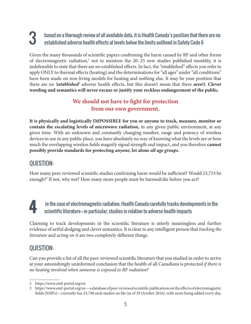### 3based on a thorough review of all available data, it is Health Canada's position that there are no established adverse health effects at levels below the limits outlined in Safety Code 6

Given the many thousands of scientific papers confirming the harm caused by RF and other forms of electromagnetic radiation,<sup>2</sup> not to mention the 20-25 new studies published monthly, it is indefensible to state that there are no established effects. In fact, the "established" effects you refer to apply ONLY to thermal effects (heating) and the determinations for "all ages" under "all conditions" have been made on non-living models for heating and nothing else. It may be your position that there are no *'established'* adverse health effects, but this doesn't mean that there *aren't.* **Clever wording and semantics will never excuse or justify your reckless endangerment of the public.**

#### **We should not have to fight for protection from our own government.**

**It is physically and logistically IMPOSSIBLE for you or anyone to track, measure, monitor or contain the escalating levels of microwave radiation,** in any given public environment, at any given time. With an unknown and constantly changing number, range and potency of wireless devices in use in any public place, you have absolutely no way of knowing what the levels are or how much the overlapping wireless fields magnify signal strength and impact, and you therefore **cannot possibly provide standards for protecting** *anyone***, let alone** *all age groups***.** 

#### QUESTION:

How many peer-reviewed scientific studies confirming harm would be sufficient? Would 23,753 be enough?3 If not, why not? How many more people must be harmed/die before you act?

#### **4** in the case of electromagnetic radiation, Health Canada carefully tracks developments in the scientific literature**—**in particular, studies in relation to adverse health impacts

Claiming to track developments in the scientific literature is utterly meaningless and further evidence of artful dodging and clever semantics. It is clear to any intelligent person that *tracking the literature* and *acting on it* are two completely different things.

#### QUESTION:

Can you provide a list of all the peer-reviewed scientific literature that you studied in order to arrive at your astonishingly uninformed conclusion that the health of all Canadians is protected *if there is no heating involved when someone is exposed to RF radiation?*

<sup>2</sup> https://www.emf-portal.org/en

<sup>3</sup> https://www.emf-portal.org/en —a database of peer-reviewed scientific publications on the effects of electromagnetic fields (EMFs)—currently has 23,748 such studies on file (as of 29 October 2016), with more being added every day.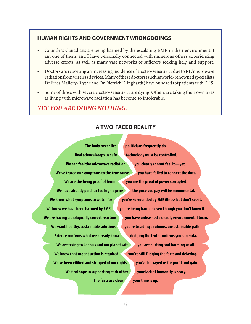#### **HUMAN RIGHTS AND GOVERNMENT WRONGDOINGS**

- Countless Canadians are being harmed by the escalating EMR in their environment. I am one of them, and I have personally connected with numerous others experiencing adverse effects, as well as many vast networks of sufferers seeking help and support.
- Doctors are reporting an increasing incidence of electro-sensitivity due to RF/microwave radiation from wireless devices. Many of these doctors (such as world-renowned specialists Dr Erica Mallery-Blythe and Dr Dietrich Klinghardt) have hundreds of patients with EHS.
- Some of those with severe electro-sensitivity are dying. Others are taking their own lives as living with microwave radiation has become so intolerable.

#### *YET YOU ARE DOING NOTHING.*

#### **A TWO-FACED REALITY**

The body never lies politicians frequently do. Real science keeps us safe technology must be controlled. We can feel the microwave radiation you clearly cannot feel it-yet. We've traced our symptoms to the true cause you have failed to connect the dots. We are the living proof of harm you are the proof of power corrupted. We have already paid far too high a price **the price you pay will be monumental. We know what symptoms to watch for you're surrounded by EMR illness but don't see it.** We know we have been harmed by EMR vou're being harmed even though you don't know it. We are having a biologically correct reaction you have unleashed a deadly environmental toxin. We want healthy, sustainable solutions **you're treading a ruinous, unsustainable path. Science confirms what we already know dodging the truth confirms your agenda.** We are trying to keep us and our planet safe you are hurting and harming us all. **We know that urgent action is required you're still fudging the facts and delaying.** We've been vilified and stripped of our rights you've betrayed us for profit and gain. We find hope in supporting each other your lack of humanity is scary. **The facts are clear your time is up.**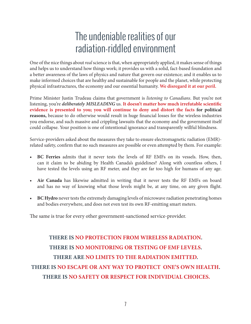## The undeniable realities of our radiation-riddled environment

One of the nice things about *real* science is that, when appropriately applied, it makes sense of things and helps us to understand how things work; it provides us with a solid, fact-based foundation and a better awareness of the laws of physics and nature that govern our existence; and it enables us to make informed choices that are healthy and sustainable for people and the planet, while protecting physical infrastructures, the economy and our essential humanity. **We disregard it at our peril.**

Prime Minister Justin Trudeau claims that government is *listening to Canadians*. But you're not listening, you're *deliberately MISLEADING* us. **It doesn't matter how much irrefutable scientific evidence is presented to you; you will continue to deny and distort the facts for political reasons,** because to do otherwise would result in huge financial losses for the wireless industries you endorse, and such massive and crippling lawsuits that the economy and the government itself could collapse. Your position is one of intentional ignorance and transparently willful blindness.

Service-providers asked about the measures they take to ensure electromagnetic radiation (EMR) related safety, confirm that no such measures are possible or even attempted by them. For example:

- **• BC Ferries** admits that it never tests the levels of RF EMFs on its vessels. How, then, can it claim to be abiding by Health Canada's guidelines? Along with countless others, I have tested the levels using an RF meter, and they are far too high for humans of any age.
- **• Air Canada** has likewise admitted in writing that it never tests the RF EMFs on board and has no way of knowing what those levels might be, at any time, on any given flight.
- **• BC Hydro** never tests the extremely damaging levels of microwave radiation penetrating homes and bodies everywhere, and does not even test its own RF-emitting smart meters.

The same is true for every other government-sanctioned service-provider.

**THERE IS NO PROTECTION FROM WIRELESS RADIATION. THERE IS NO MONITORING OR TESTING OF EMF LEVELS. THERE ARE NO LIMITS TO THE RADIATION EMITTED. THERE IS NO ESCAPE OR ANY WAY TO PROTECT ONE'S OWN HEALTH. THERE IS NO SAFETY OR RESPECT FOR INDIVIDUAL CHOICES.**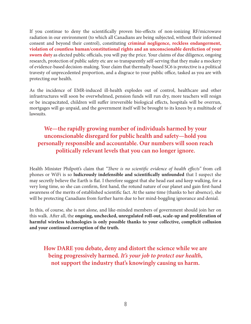If you continue to deny the scientifically proven bio-effects of non-ionizing RF/microwave radiation in our environment (to which all Canadians are being subjected, without their informed consent and beyond their control), constituting **criminal negligence, reckless endangerment, violation of countless human/constitutional rights and an unconscionable dereliction of your sworn duty** as elected public officials, you will pay the price. Your claims of due diligence, ongoing research, protection of public safety etc are so transparently self-serving that they make a mockery of evidence-based decision-making. Your claim that thermally-based SC6 is protective is a political travesty of unprecedented proportion, and a disgrace to your public office, tasked as you are with protecting our health.

As the incidence of EMR-induced ill-health explodes out of control, healthcare and other infrastructures will soon be overwhelmed, pension funds will run dry, more teachers will resign or be incapacitated, children will suffer irreversible biological effects, hospitals will be overrun, mortgages will go unpaid, and the government itself will be brought to its knees by a multitude of lawsuits.

#### **We—the rapidly growing number of individuals harmed by your unconscionable disregard for public health and safety—hold you personally responsible and accountable. Our numbers will soon reach politically relevant levels that you can no longer ignore.**

Health Minister Philpott's claim that *"There is no scientific evidence of health effects"* from cell phones or WiFi is so **ludicrously indefensible and scientifically unfounded** that I suspect she may secretly believe the Earth is flat. I therefore suggest that she head east and keep walking, for a very long time, so she can confirm, first hand, the rotund nature of our planet and gain first-hand awareness of the merits of established scientific fact. At the same time (thanks to her absence), she will be protecting Canadians from further harm due to her mind-boggling ignorance and denial.

In this, of course, she is not alone, and like-minded members of government should join her on this walk. After all, the **ongoing, unchecked, unregulated roll-out, scale-up and proliferation of harmful wireless technologies is only possible thanks to your collective, complicit collusion and your continued corruption of the truth.**

**How DARE you debate, deny and distort the science while we are being progressively harmed.** *It's your job to protect our health***, not support the industry that's knowingly causing us harm.**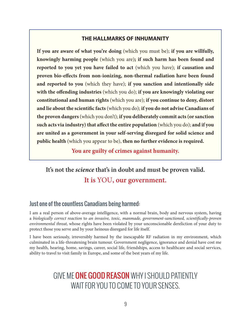#### **THE HALLMARKS OF INHUMANITY**

**If you are aware of what you're doing** (which you must be); **if you are willfully, knowingly harming people** (which you are)**; if such harm has been found and reported to you yet you have failed to act** (which you have); **if causation and proven bio-effects from non-ionizing, non-thermal radiation have been found and reported to you** (which they have); **if you sanction and intentionally side with the offending industries** (which you do); **if you are knowingly violating our constitutional and human rights** (which you are); **if you continue to deny, distort and lie about the scientific facts** (which you do); **if you do not advise Canadians of the proven dangers** (which you don't); **if you deliberately commit acts (or sanction such acts via industry) that affect the entire population** (which you do); **and if you are united as a government in your self-serving disregard for solid science and public health** (which you appear to be), **then no further evidence is required.** 

**You are guilty of crimes against humanity.**

## **It's not the** *science* **that's in doubt and must be proven valid. It is** YOU**, our government.**

#### Just one of the countless Canadians being harmed:

I am a real person of above-average intelligence, with a normal brain, body and nervous system, having a *biologically correct reaction* to *an invasive, toxic, manmade, government-sanctioned, scientifically-proven environmental threat*, whose rights have been violated by your unconscionable dereliction of your duty to protect those you serve and by your heinous disregard for life itself.

I have been seriously, irreversibly harmed by the inescapable RF radiation in my environment, which culminated in a life-threatening brain tumour. Government negligence, ignorance and denial have cost me my health, hearing, home, savings, career, social life, friendships, access to healthcare and social services, ability to travel to visit family in Europe, and some of the best years of my life.

## GIVE ME ONE GOOD REASON WHY I SHOULD PATIENTLY WAIT FOR YOU TO COME TO YOUR SENSES.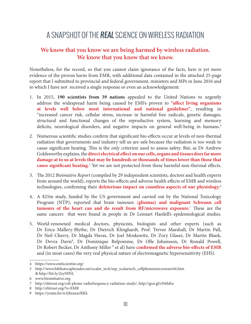## A SNAPSHOT OF THE **REAL** SCIENCE ON WIRELESS RADIATION

#### **We know that you know we are being harmed by wireless radiation. We know that you know that we know.**

Nonetheless, for the record, so that you cannot claim ignorance of the facts, here is yet more evidence of the proven harm from EMR, with additional data contained in the attached 25-page report that I submitted to provincial and federal government, ministers and MPs in June 2016 and to which I have not received a single response or even an acknowledgement:

- 1. In 2015, **190 scientists from 39 nations** appealed to the United Nations to urgently address the widespread harm being caused by EMFs proven to **"affect living organisms at levels well below most international and national guidelines"**, resulting in "increased cancer risk, cellular stress, increase in harmful free radicals, genetic damages, structural and functional changes of the reproductive system, learning and memory deficits, neurological disorders, and negative impacts on general well-being in humans.<sup>4</sup>
- 2. Numerous scientific studies confirm that significant bio-effects occur at levels of non-thermal radiation that governments and industry tell us are safe because the radiation is too weak to cause significant heating. This is the *only* criterion used to assess safety. But, as Dr Andrew Goldsworthy explains, the **direct electrical effect on our cells, organs and tissues does far more damage at to us at levels that may be hundreds or thousands of times lower than those that**  cause significant heating.<sup>5</sup> Yet we are not protected from these harmful non-thermal effects.
- 3. The 2012 *Bioiniative Report* (compiled by 29 independent scientists, doctors and health experts from around the world), reports the bio-effects and adverse health effects of EMR and wireless technologies, confirming their **deleterious impact on countless aspects of our physiology.**<sup>6</sup>
- 4. A \$25m study, funded by the US government and carried out by the National Toxicology Program (NTP), reported that brain tumours (**gliomas) and malignant Schwann cell tumours of the heart can and do result from RF/microwave exposure.**<sup>7</sup> These are the same cancers that were found in people in Dr Lennart Hardell's epidemiological studies.
- 5. World-renowned medical doctors, physicists, biologists and other experts (such as Dr Erica Mallery-Blythe, Dr Dietrich Klinghardt, Prof. Trevor Marshall, Dr Martin Pall, Dr Neil Cherry, Dr Magda Havas, Dr Joel Moskowitz, Dr Zory Glaser, Dr Martin Blank, Dr Devra Davis<sup>8</sup>, Dr Dominique Belpomme, Dr Olle Johansson, Dr Ronald Powell, Dr Robert Becker, Dr Anthony Miller <sup>9</sup> et al) have **confirmed the adverse bio-effects of EMR** and (in most cases) the very real physical nature of electromagnetic hypersensitivity (EHS).

<sup>4</sup> https://www.emfscientist.org/

<sup>5</sup> http://www.bibliotecapleyades.net/scalar\_tech/esp\_scalartech\_cellphonesmicrowave44.htm & http://bit.ly/2eyNfNL

<sup>6</sup> www.bioinitiative.org

<sup>7</sup> http://ehtrust.org/cell-phone-radiofrequency-radiation-study/, http://goo.gl/eN6hKo

<sup>8</sup> http://ehtrust.org/?s=EMR

<sup>9</sup> https://youtu.be/wARxnaxrRKk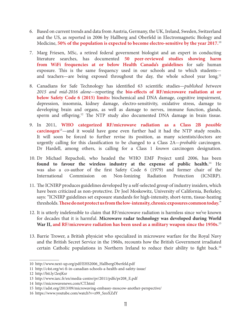- 6. Based on current trends and data from Austria, Germany, the UK, Ireland, Sweden, Switzerland and the US, as reported in 2006 by Hallberg and Oberfeld in Electromagnetic Biology and Medicine, **50% of the population is expected to become electro-sensitive by the year 2017.**<sup>10</sup>
- 7. Marg Friesen, MSc, a retired federal government biologist and an expert in conducting literature searches, has documented **50 peer-reviewed studies showing harm from WiFi frequencies at or below Health Canada's guidelines** for safe human exposure. This is the same frequency used in our schools and to which students and teachers—are being exposed throughout the day, the whole school year long.<sup>11</sup>
- 8. Canadians for Safe Technology has identified 63 scientific studies—*published between 2015 and mid-2016 alone*—reporting the **bio-effects of RF/microwave radiation at or below Safety Code 6 (2015) limits:** biochemical and DNA damage, cognitive impairment, depression, insomnia, kidney damage, electro-sensitivity, oxidative stress, damage to developing brain and organs, as well as damage to nerves, immune function, glands, sperm and offspring.<sup>12</sup> The NTP study also documented DNA damage in brain tissue.
- 9. In 2011, **WHO categorized RF/microwave radiation as a Class 2B** *possible*  **carcinogen**13—and it would have gone even further had it had the NTP study results. It will soon be forced to further revise its position, as many scientists/doctors are urgently calling for this classification to be changed to a Class 2A—*probable* carcinogen. Dr Hardell, among others, is calling for a Class 1 *known* carcinogen designation.
- 10. Dr Michael Repacholi, who headed the WHO EMF Project until 2006, has been **found to favour the wireless industry at the expense of public health.**14 He was also a co-author of the first Safety Code 6 (1979) and former chair of the International Commission on Non-Ionizing Radiation Protection (ICNIRP).
- 11. The ICNIRP produces guidelines developed by a self-selected group of industry insiders, which have been criticized as non-protective. Dr Joel Moskowitz, University of California, Berkeley, says: "ICNIRP guidelines set exposure standards for high-intensity, short-term, tissue-heating thresholds. **These do not protect us from the low-intensity, chronic exposures common today.**"
- 12. It is utterly indefensible to claim that RF/microwave radiation is harmless since we've known for decades that it is harmful. **Microwave radar technology was developed during World War II, and RF/microwave radiation has been used as a military weapon since the 1950s.**<sup>15</sup>
- 13. Barrie Trower, a British physicist who specialized in microwave warfare for the Royal Navy and the British Secret Service in the 1960s, recounts how the British Government irradiated certain Catholic populations in Northern Ireland to reduce their ability to fight back.16

<sup>10</sup> http://www.next-up.org/pdf/EHS2006\_HallbergOberfeld.pdf

<sup>11</sup> http://c4st.org/wi-fi-in-canadian-schools-a-health-and-safety-issue/

<sup>12</sup> http://bit.ly/2esjKsr

<sup>13</sup> http://www.iarc.fr/en/media-centre/pr/2011/pdfs/pr208\_E.pdf

<sup>14</sup> http://microwavenews.com/CT.html

<sup>15</sup> http://adst.org/2013/09/microwaving-embassy-moscow-another-perspective/

<sup>16</sup> https://www.youtube.com/watch?v=z99\_SzoXZdY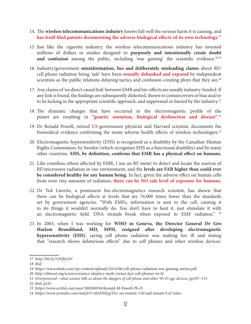- 14. The **wireless telecommunications industry** knows full well the serious harm it is causing, and **has itself filed patents documenting the adverse biological effects of its own technology.**<sup>17</sup>
- 15. Just like the cigarette industry, the wireless telecommunications industry has invested millions of dollars in studies designed to **purposely and intentionally create doubt**  and confusion among the public, including 'war gaming' the scientific evidence.<sup>18,19</sup>
- 16. Industry/government **misinformation, lies and deliberately misleading claims** about RF/ cell phone radiation being 'safe' have been **soundly debunked and exposed** by independent scientists as the public relations delaying tactics and confusion-creating ploys that they are.<sup>20</sup>
- 17. Any claims of 'no direct causal link' between EMR and bio-effects are usually industry-funded. If any link is found, the findings are subsequently distorted, shown to contain errors or bias and/or to be lacking in the appropriate scientific approach, and suppressed or buried by the industry.<sup>21</sup>
- 18. The dramatic changes that have occurred in the electromagnetic profile of the planet are resulting in **"genetic mutation, biological dysfunction and disease"**. 22
- 19. Dr Ronald Powell, retired US-government physicist and Harvard scientist, documents the biomedical evidence confirming the many adverse health effects of wireless technologies.<sup>23</sup>
- 20. Electromagnetic hypersensitivity (EHS) is recognized as a disability by the Canadian Human Rights Commission, by Sweden (which recognizes EHS as a functional disability) and by many other countries. **EHS, by definition, confirms that EMR has a physical effect on humans.**
- 21. Like countless others affected by EMR, I use an RF meter to detect and locate the sources of RF/microwave radiation in our environment, and the **levels are FAR higher than could ever be considered healthy for any human being.** In fact, given the adverse effect on human cells from even tiny amounts of radiation, **there can be NO safe level of exposure for humans.**
- 22. Dr Ted Litovitz, a prominent bio-electromagnetics research scientist, has shown that there can be biological effects at levels that are 76,000 times lower than the standards set by government agencies. "With EMFs, information is sent to the cell, causing it to do things it wouldn't normally do. You don't have to heat it, just stimulate it with an electromagnetic field. DNA strands break when exposed to EMF radiation." <sup>24</sup>
- 23. In 2003, when I was working for **WHO in Geneva, the Director General Dr Gro Harlem Brundtland, MD, MPH, resigned after developing electromagnetic hypersensitivity (EHS)**, saying cell phone radiation was making her ill and stating that "research shows deleterious effects" due to cell phones and other wireless devices.

<sup>17</sup> http://bit.ly/1OQbG4V

<sup>18</sup> ibid

<sup>19</sup> https://www.rfsafe.com/wp-content/uploads/2014/06/cell-phone-radiation-war-gaming-memo.pdf

<sup>20</sup> http://ehtrust.org/science/science-skeptics-myth-versus-fact-cell-phones-wi-fi/

<sup>21</sup> *Overpowered—what science tells us about the dangers of cell phone and other Wi-Fi-age devices*, pp107–153

<sup>22</sup> ibid, p241

<sup>23</sup> https://www.scribd.com/user/300269936/Ronald-M-Powell-Ph-D

<sup>24</sup> https://www.youtube.com/watch?v=6lAFbQqyVio: see minute 3.40 and minute 9 of video